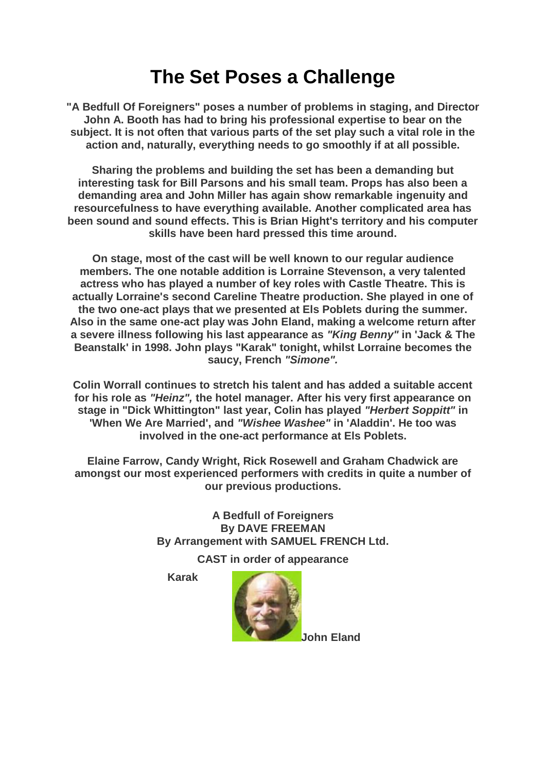## **The Set Poses a Challenge**

**"A Bedfull Of Foreigners" poses a number of problems in staging, and Director John A. Booth has had to bring his professional expertise to bear on the subject. It is not often that various parts of the set play such a vital role in the action and, naturally, everything needs to go smoothly if at all possible.**

**Sharing the problems and building the set has been a demanding but interesting task for Bill Parsons and his small team. Props has also been a demanding area and John Miller has again show remarkable ingenuity and resourcefulness to have everything available. Another complicated area has been sound and sound effects. This is Brian Hight's territory and his computer skills have been hard pressed this time around.**

**On stage, most of the cast will be well known to our regular audience members. The one notable addition is Lorraine Stevenson, a very talented actress who has played a number of key roles with Castle Theatre. This is actually Lorraine's second Careline Theatre production. She played in one of the two one-act plays that we presented at Els Poblets during the summer. Also in the same one-act play was John Eland, making a welcome return after a severe illness following his last appearance as** *"King Benny"* **in 'Jack & The Beanstalk' in 1998. John plays "Karak" tonight, whilst Lorraine becomes the saucy, French** *"Simone".*

**Colin Worrall continues to stretch his talent and has added a suitable accent for his role as** *"Heinz",* **the hotel manager. After his very first appearance on stage in "Dick Whittington" last year, Colin has played** *"Herbert Soppitt"* **in 'When We Are Married', and** *"Wishee Washee"* **in 'Aladdin'. He too was involved in the one-act performance at Els Poblets.**

**Elaine Farrow, Candy Wright, Rick Rosewell and Graham Chadwick are amongst our most experienced performers with credits in quite a number of our previous productions.**

> **A Bedfull of Foreigners By DAVE FREEMAN By Arrangement with SAMUEL FRENCH Ltd.**

> > **CAST in order of appearance**

**Karak**



**John Eland**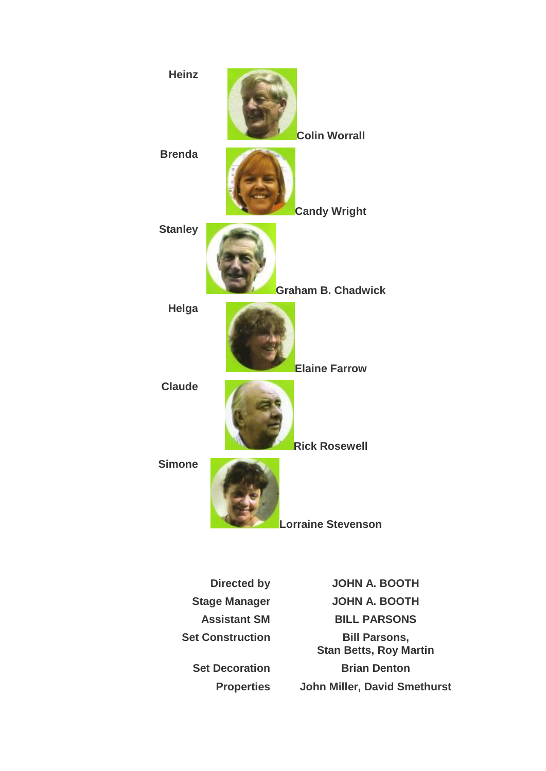

**Directed by JOHN A. BOOTH Stage Manager JOHN A. BOOTH Assistant SM BILL PARSONS Set Construction Bill Parsons, Stan Betts, Roy Martin Set Decoration Brian Denton Properties John Miller, David Smethurst**